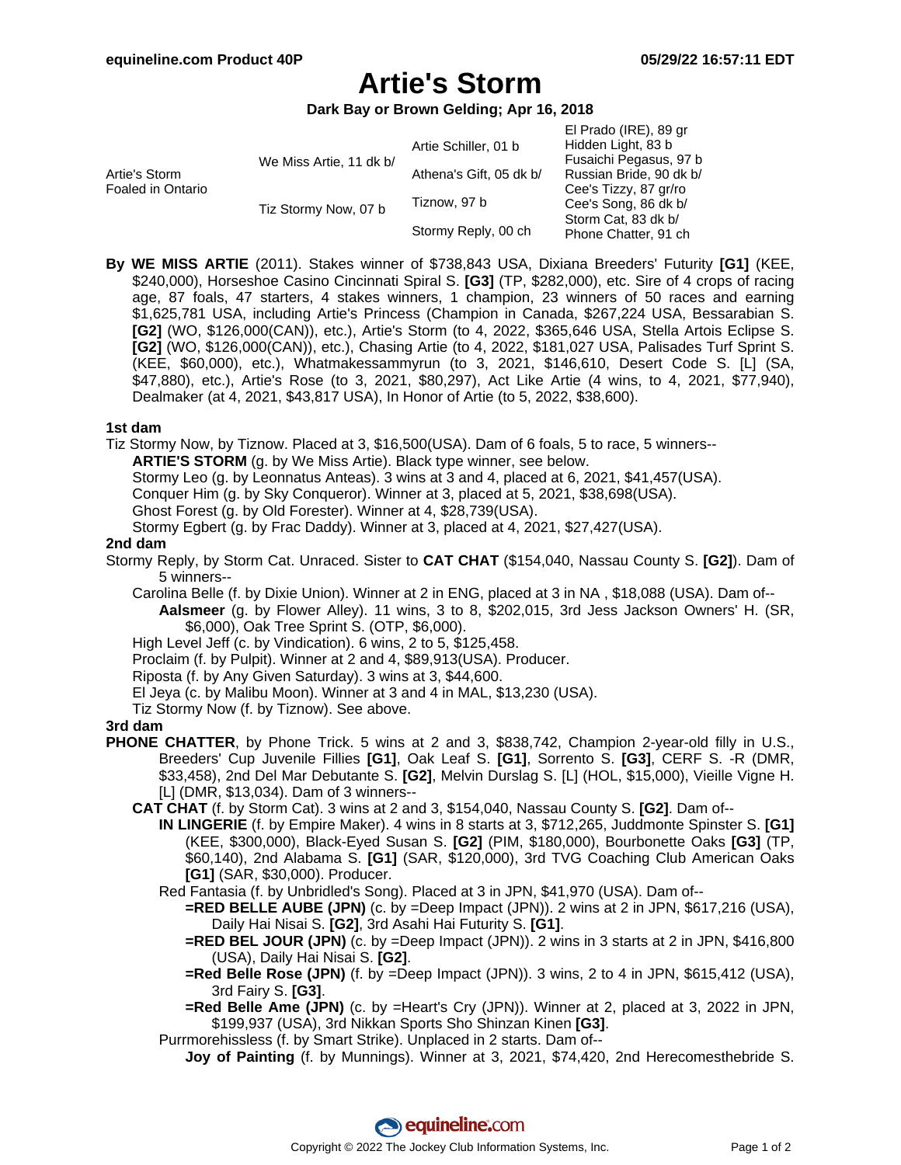$E|$  Drado (IDE), 80 gr

# **Artie's Storm**

**Dark Bay or Brown Gelding; Apr 16, 2018**

|                      | Artie Schiller, 01 b    | Hidden Light, 83 b                          |
|----------------------|-------------------------|---------------------------------------------|
|                      |                         | Fusaichi Pegasus, 97 b                      |
|                      | Athena's Gift, 05 dk b/ | Russian Bride, 90 dk b/                     |
|                      | Tiznow, 97 b            | Cee's Tizzy, 87 gr/ro                       |
| Tiz Stormy Now, 07 b |                         | Cee's Song, 86 dk b/                        |
|                      | Stormy Reply, 00 ch     | Storm Cat. 83 dk b/<br>Phone Chatter, 91 ch |
|                      | We Miss Artie, 11 dk b/ |                                             |

**By WE MISS ARTIE** (2011). Stakes winner of \$738,843 USA, Dixiana Breeders' Futurity **[G1]** (KEE, \$240,000), Horseshoe Casino Cincinnati Spiral S. **[G3]** (TP, \$282,000), etc. Sire of 4 crops of racing age, 87 foals, 47 starters, 4 stakes winners, 1 champion, 23 winners of 50 races and earning \$1,625,781 USA, including Artie's Princess (Champion in Canada, \$267,224 USA, Bessarabian S. **[G2]** (WO, \$126,000(CAN)), etc.), Artie's Storm (to 4, 2022, \$365,646 USA, Stella Artois Eclipse S. **[G2]** (WO, \$126,000(CAN)), etc.), Chasing Artie (to 4, 2022, \$181,027 USA, Palisades Turf Sprint S. (KEE, \$60,000), etc.), Whatmakessammyrun (to 3, 2021, \$146,610, Desert Code S. [L] (SA, \$47,880), etc.), Artie's Rose (to 3, 2021, \$80,297), Act Like Artie (4 wins, to 4, 2021, \$77,940), Dealmaker (at 4, 2021, \$43,817 USA), In Honor of Artie (to 5, 2022, \$38,600).

#### **1st dam**

Tiz Stormy Now, by Tiznow. Placed at 3, \$16,500(USA). Dam of 6 foals, 5 to race, 5 winners--

**ARTIE'S STORM** (g. by We Miss Artie). Black type winner, see below.

Stormy Leo (g. by Leonnatus Anteas). 3 wins at 3 and 4, placed at 6, 2021, \$41,457(USA).

Conquer Him (g. by Sky Conqueror). Winner at 3, placed at 5, 2021, \$38,698(USA).

Ghost Forest (g. by Old Forester). Winner at 4, \$28,739(USA).

Stormy Egbert (g. by Frac Daddy). Winner at 3, placed at 4, 2021, \$27,427(USA).

#### **2nd dam**

Stormy Reply, by Storm Cat. Unraced. Sister to **CAT CHAT** (\$154,040, Nassau County S. **[G2]**). Dam of 5 winners--

Carolina Belle (f. by Dixie Union). Winner at 2 in ENG, placed at 3 in NA , \$18,088 (USA). Dam of--

**Aalsmeer** (g. by Flower Alley). 11 wins, 3 to 8, \$202,015, 3rd Jess Jackson Owners' H. (SR, \$6,000), Oak Tree Sprint S. (OTP, \$6,000).

High Level Jeff (c. by Vindication). 6 wins, 2 to 5, \$125,458.

Proclaim (f. by Pulpit). Winner at 2 and 4, \$89,913(USA). Producer.

Riposta (f. by Any Given Saturday). 3 wins at 3, \$44,600.

El Jeya (c. by Malibu Moon). Winner at 3 and 4 in MAL, \$13,230 (USA).

Tiz Stormy Now (f. by Tiznow). See above.

## **3rd dam**

- **PHONE CHATTER**, by Phone Trick. 5 wins at 2 and 3, \$838,742, Champion 2-year-old filly in U.S., Breeders' Cup Juvenile Fillies **[G1]**, Oak Leaf S. **[G1]**, Sorrento S. **[G3]**, CERF S. -R (DMR, \$33,458), 2nd Del Mar Debutante S. **[G2]**, Melvin Durslag S. [L] (HOL, \$15,000), Vieille Vigne H. [L] (DMR, \$13,034). Dam of 3 winners--
	- **CAT CHAT** (f. by Storm Cat). 3 wins at 2 and 3, \$154,040, Nassau County S. **[G2]**. Dam of--
		- **IN LINGERIE** (f. by Empire Maker). 4 wins in 8 starts at 3, \$712,265, Juddmonte Spinster S. **[G1]** (KEE, \$300,000), Black-Eyed Susan S. **[G2]** (PIM, \$180,000), Bourbonette Oaks **[G3]** (TP, \$60,140), 2nd Alabama S. **[G1]** (SAR, \$120,000), 3rd TVG Coaching Club American Oaks **[G1]** (SAR, \$30,000). Producer.

Red Fantasia (f. by Unbridled's Song). Placed at 3 in JPN, \$41,970 (USA). Dam of--

- **=RED BELLE AUBE (JPN)** (c. by =Deep Impact (JPN)). 2 wins at 2 in JPN, \$617,216 (USA), Daily Hai Nisai S. **[G2]**, 3rd Asahi Hai Futurity S. **[G1]**.
- **=RED BEL JOUR (JPN)** (c. by =Deep Impact (JPN)). 2 wins in 3 starts at 2 in JPN, \$416,800 (USA), Daily Hai Nisai S. **[G2]**.
- **=Red Belle Rose (JPN)** (f. by =Deep Impact (JPN)). 3 wins, 2 to 4 in JPN, \$615,412 (USA), 3rd Fairy S. **[G3]**.

**=Red Belle Ame (JPN)** (c. by =Heart's Cry (JPN)). Winner at 2, placed at 3, 2022 in JPN, \$199,937 (USA), 3rd Nikkan Sports Sho Shinzan Kinen **[G3]**.

Purrmorehissless (f. by Smart Strike). Unplaced in 2 starts. Dam of--

**Joy of Painting** (f. by Munnings). Winner at 3, 2021, \$74,420, 2nd Herecomesthebride S.